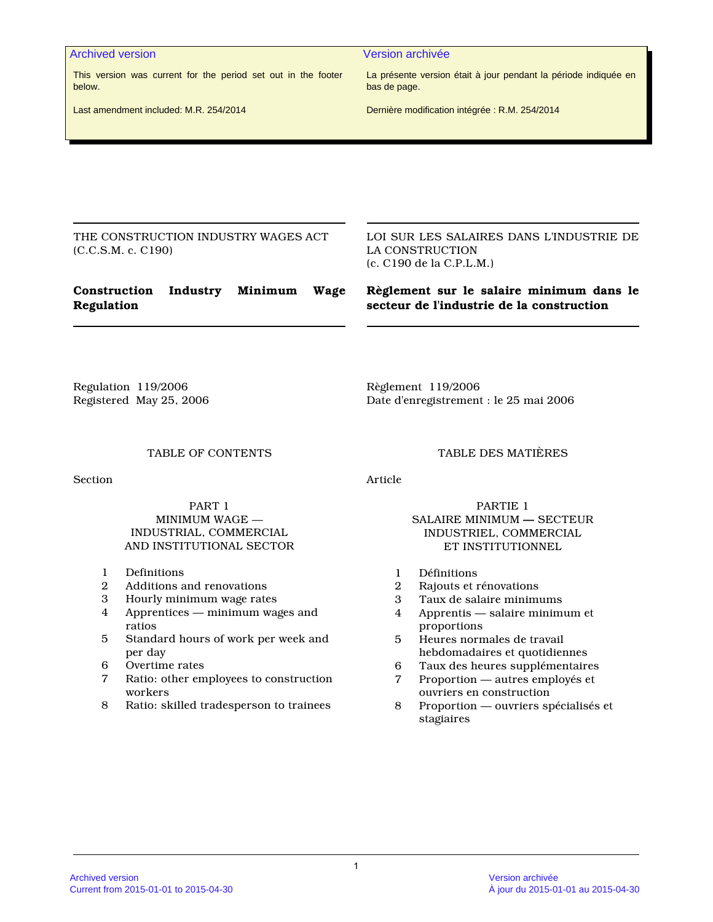Archived version and version archivée version archivée

This version was current for the period set out in the footer below.

La présente version était à jour pendant la période indiquée en bas de page.

Last amendment included: M.R. 254/2014

Dernière modification intégrée : R.M. 254/2014

THE CONSTRUCTION INDUSTRY WAGES ACT (C.C.S.M. c. C190)

LOI SUR LES SALAIRES DANS L'INDUSTRIE DE LA CONSTRUCTION (c. C190 de la C.P.L.M.)

# **Construction Industry Minimum Wage Regulation**

**Règlement sur le salaire minimum dans le secteur de l'industrie de la construction**

Regulation 119/2006 Registered May 25, 2006 Règlement 119/2006 Date d'enregistrement : le 25 mai 2006

#### TABLE OF CONTENTS

Section

PART 1 MINIMUM WAGE — INDUSTRIAL, COMMERCIAL AND INSTITUTIONAL SECTOR

- 1 Definitions
- 2 Additions and renovations
- 3 Hourly minimum wage rates
- 4 Apprentices minimum wages and ratios
- 5 Standard hours of work per week and per day
- 6 Overtime rates
- 7 Ratio: other employees to construction workers
- 8 Ratio: skilled tradesperson to trainees

#### TABLE DES MATIÈRES

Article

#### PARTIE 1 SALAIRE MINIMUM **—** SECTEUR INDUSTRIEL, COMMERCIAL ET INSTITUTIONNEL

- 1 Définitions
- 2 Rajouts et rénovations
- 3 Taux de salaire minimums
- 4 Apprentis salaire minimum et proportions
- 5 Heures normales de travail hebdomadaires et quotidiennes
- 6 Taux des heures supplémentaires
- 7 Proportion autres employés et ouvriers en construction
- 8 Proportion ouvriers spécialisés et stagiaires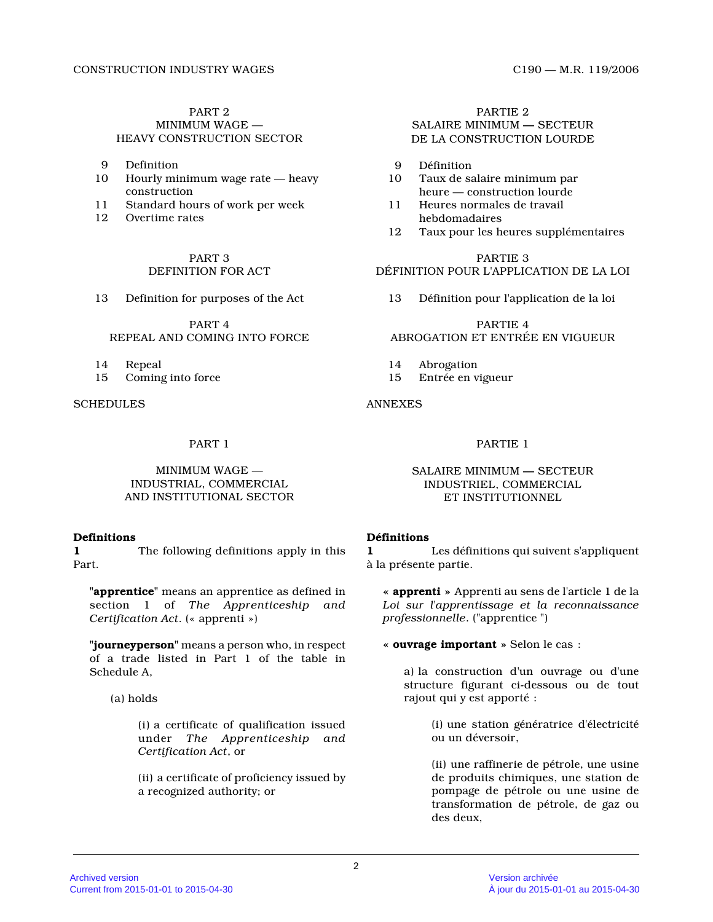#### PART 2 MINIMUM WAGE — HEAVY CONSTRUCTION SECTOR

- 9 Definition
- 10 Hourly minimum wage rate heavy construction
- 11 Standard hours of work per week
- 12 Overtime rates

PART 3 DEFINITION FOR ACT

13 Definition for purposes of the Act

PART 4 REPEAL AND COMING INTO FORCE

14 Repeal

15 Coming into force

**SCHEDULES** 

MINIMUM WAGE — INDUSTRIAL, COMMERCIAL AND INSTITUTIONAL SECTOR

# **Definitions**

**1** The following definitions apply in this Part.

**"apprentice"** means an apprentice as defined in section 1 of *The Apprenticeship and Certification Act*. (« apprenti »)

**"journeyperson"** means a person who, in respect of a trade listed in Part 1 of the table in Schedule A,

(a) holds

(i) a certificate of qualification issued under *The Apprenticeship and Certification Act*, or

(ii) a certificate of proficiency issued by a recognized authority; or

PARTIE 2 SALAIRE MINIMUM **—** SECTEUR DE LA CONSTRUCTION LOURDE

- 9 Définition<br>10 Taux de sa
- Taux de salaire minimum par heure — construction lourde
- 11 Heures normales de travail hebdomadaires
- 12 Taux pour les heures supplémentaires

PARTIE 3 DÉFINITION POUR L'APPLICATION DE LA LOI

13 Définition pour l'application de la loi

# PARTIE 4 ABROGATION ET ENTRÉE EN VIGUEUR

- 14 Abrogation<br>15 Entrée en v
- 15 Entrée en vigueur

ANNEXES

# PART 1 PARTIE 1

# SALAIRE MINIMUM **—** SECTEUR INDUSTRIEL, COMMERCIAL ET INSTITUTIONNEL

# **Définitions**

**1** Les définitions qui suivent s'appliquent à la présente partie.

**« apprenti »** Apprenti au sens de l'article 1 de la *Loi sur l'apprentissage et la reconnaissance professionnelle*. ("apprentice ")

**« ouvrage important »** Selon le cas :

a) la construction d'un ouvrage ou d'une structure figurant ci-dessous ou de tout rajout qui y est apporté :

> (i) une station génératrice d'électricité ou un déversoir,

> (ii) une raffinerie de pétrole, une usine de produits chimiques, une station de pompage de pétrole ou une usine de transformation de pétrole, de gaz ou des deux,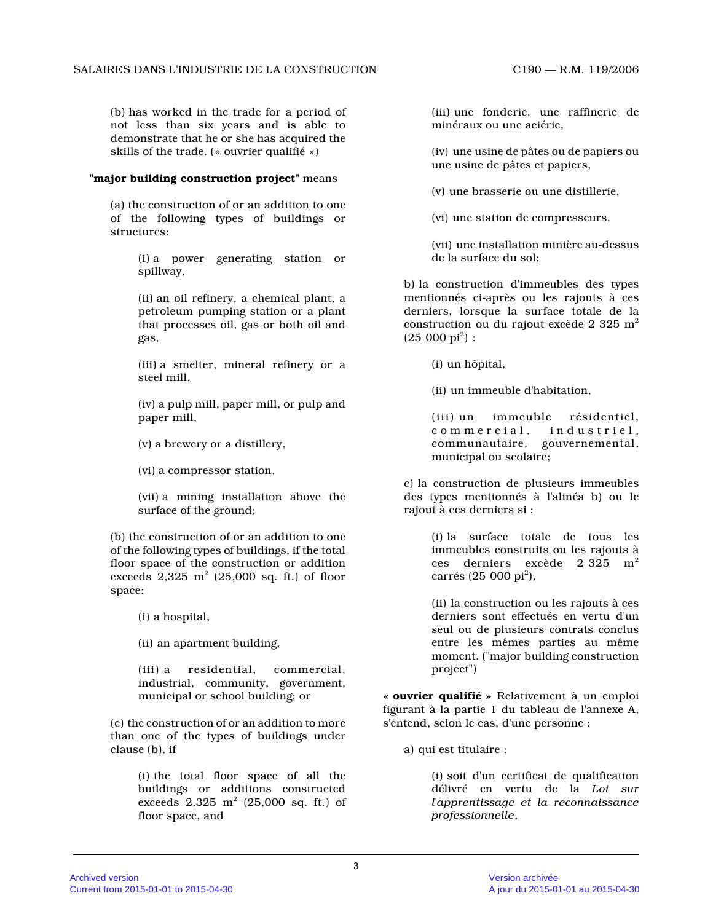(b) has worked in the trade for a period of not less than six years and is able to demonstrate that he or she has acquired the skills of the trade. (« ouvrier qualifié »)

# **"major building construction project"** means

(a) the construction of or an addition to one of the following types of buildings or structures:

> (i) a power generating station or spillway,

(ii) an oil refinery, a chemical plant, a petroleum pumping station or a plant that processes oil, gas or both oil and gas,

(iii) a smelter, mineral refinery or a steel mill,

(iv) a pulp mill, paper mill, or pulp and paper mill,

- (v) a brewery or a distillery,
- (vi) a compressor station,

(vii) a mining installation above the surface of the ground;

(b) the construction of or an addition to one of the following types of buildings, if the total floor space of the construction or addition exceeds  $2,325\,$   $\mathrm{m}^2$  (25,000 sq. ft.) of floor space:

(i) a hospital,

(ii) an apartment building,

(iii) a residential, commercial, industrial, community, government, municipal or school building; or

(c) the construction of or an addition to more than one of the types of buildings under clause (b), if

> (i) the total floor space of all the buildings or additions constructed exceeds  $2,325 \text{ m}^2$  (25,000 sq. ft.) of floor space, and

(iii) une fonderie, une raffinerie de minéraux ou une aciérie,

(iv) une usine de pâtes ou de papiers ou une usine de pâtes et papiers,

(v) une brasserie ou une distillerie,

(vi) une station de compresseurs,

(vii) une installation minière au-dessus de la surface du sol;

b) la construction d'immeubles des types mentionnés ci-après ou les rajouts à ces derniers, lorsque la surface totale de la construction ou du rajout excède 2 325  $\mathrm{m}^2$  $(25\ 000\ \text{pi}^2):$ 

(i) un hôpital,

(ii) un immeuble d'habitation,

(iii) un immeuble résidentiel, commercial, industriel, communautaire, gouvernemental, municipal ou scolaire;

c) la construction de plusieurs immeubles des types mentionnés à l'alinéa b) ou le rajout à ces derniers si :

> (i) la surface totale de tous les immeubles construits ou les rajouts à ces derniers excède  $2\;325\;$   $\mathrm{m}^2$ carrés (25 000 pi<sup>2</sup>),

> (ii) la construction ou les rajouts à ces derniers sont effectués en vertu d'un seul ou de plusieurs contrats conclus entre les mêmes parties au même moment. ("major building construction project")

**« ouvrier qualifié »** Relativement à un emploi figurant à la partie 1 du tableau de l'annexe A, s'entend, selon le cas, d'une personne :

a) qui est titulaire :

(i) soit d'un certificat de qualification délivré en vertu de la *Loi sur l'apprentissage et la reconnaissance professionnelle* ,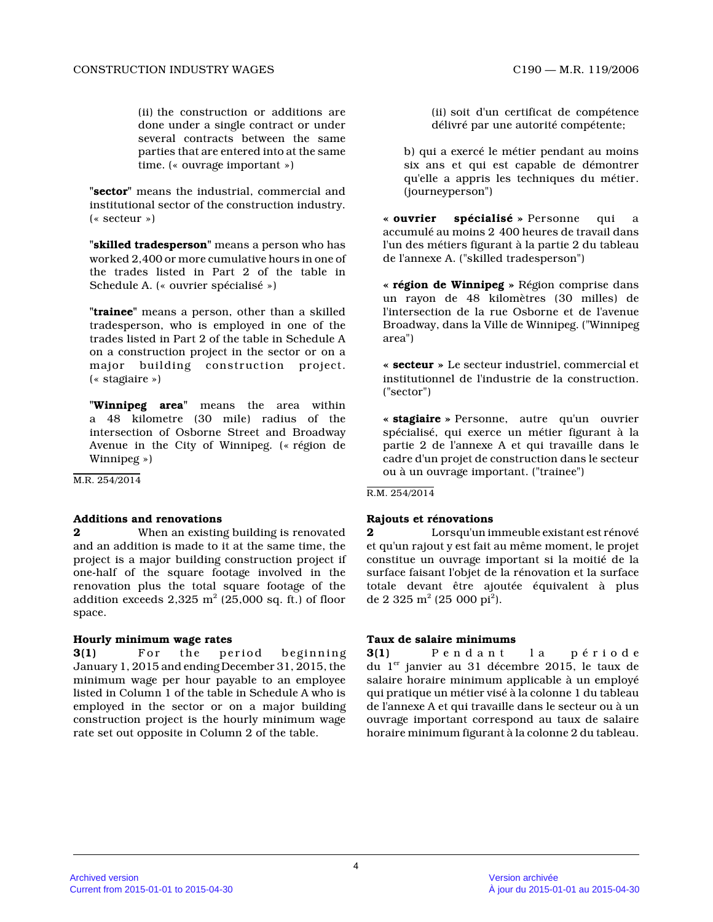(ii) the construction or additions are done under a single contract or under several contracts between the same parties that are entered into at the same time. (« ouvrage important »)

**"sector"** means the industrial, commercial and institutional sector of the construction industry. (« secteur »)

**"skilled tradesperson"** means a person who has worked 2,400 or more cumulative hours in one of the trades listed in Part 2 of the table in Schedule A. (« ouvrier spécialisé »)

**"trainee"** means a person, other than a skilled tradesperson, who is employed in one of the trades listed in Part 2 of the table in Schedule A on a construction project in the sector or on a major building construction project. (« stagiaire »)

**"Winnipeg area"** means the area within a 48 kilometre (30 mile) radius of the intersection of Osborne Street and Broadway Avenue in the City of Winnipeg. (« région de Winnipeg »)

M.R. 254/2014

# **Additions and renovations**

**2** When an existing building is renovated and an addition is made to it at the same time, the project is a major building construction project if one-half of the square footage involved in the renovation plus the total square footage of the addition exceeds  $2{,}325\;{\rm m^2}$  (25,000 sq. ft.) of floor space.

# **Hourly minimum wage rates**

**3(1)** For the period beginning January 1, 2015 and ending December 31, 2015, the minimum wage per hour payable to an employee listed in Column 1 of the table in Schedule A who i s employed in the sector or on a major building construction project is the hourly minimum wage rate set out opposite in Column 2 of the table.

(ii) soit d'un certificat de compétence délivré par une autorité compétente;

b) qui a exercé le métier pendant au moins six ans et qui est capable de démontrer qu'elle a appris les techniques du métier. (journeyperson")

**« ouvrier spécialisé »** Personne qui a accumulé au moins 2 400 heures de travail dans l'un des métiers figurant à la partie 2 du tableau de l'annexe A. ("skilled tradesperson")

**« région de Winnipeg »** Région comprise dans un rayon de 48 kilomètres (30 milles) de l'intersection de la rue Osborne et de l'avenue Broadway, dans la Ville de Winnipeg. ("Winnipeg area")

**« secteur »** Le secteur industriel, commercial et institutionnel de l'industrie de la construction. ("sector")

**« stagiaire »** Personne, autre qu'un ouvrier spécialisé, qui exerce un métier figurant à la partie 2 de l'annexe A et qui travaille dans le cadre d'un projet de construction dans le secteur ou à un ouvrage important. ("trainee")

R.M. 254/2014

# **Rajouts et rénovations**

**2** Lorsqu'un immeuble existant est rénové et qu'un rajout y est fait au même moment, le proje t constitue un ouvrage important si la moitié de la surface faisant l'objet de la rénovation et la surface totale devant être ajoutée équivalent à plus de 2 325 m<sup>2</sup> (25 000 pi<sup>2</sup>).

# **Taux de salaire minimums**

**3(1)** P e n d a n t l a p é r i o d e du 1<sup>er</sup> janvier au 31 décembre 2015, le taux de salaire horaire minimum applicable à un employé qui pratique un métier visé à la colonne 1 du tableau de l'annexe A et qui travaille dans le secteur ou à un ouvrage important correspond au taux de salaire horaire minimum figurant à la colonne 2 du tableau.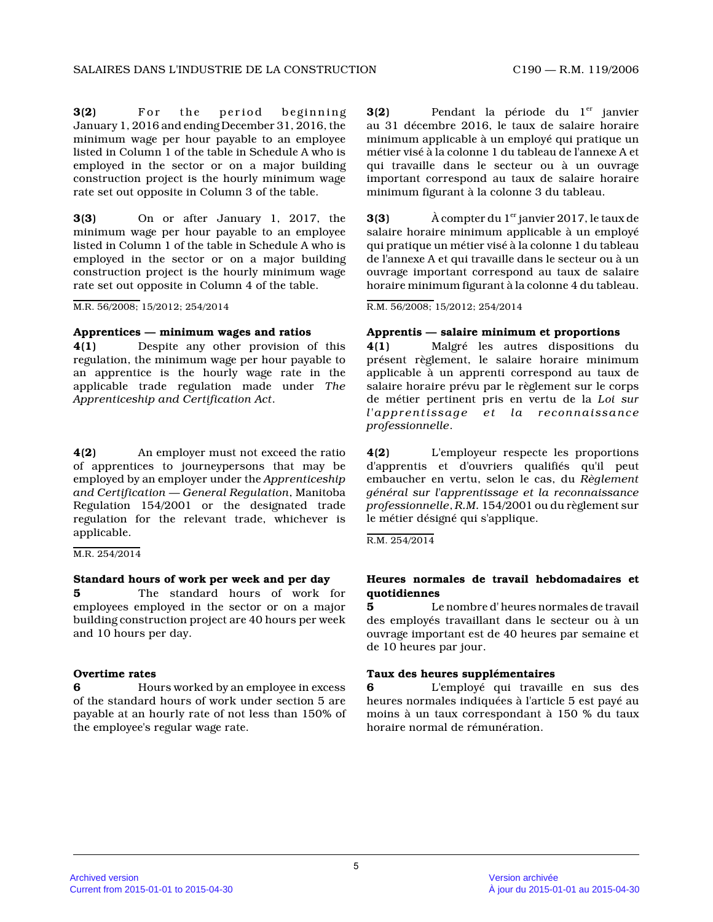**3(2)** For the period beginning January 1, 2016 and ending December 31, 2016, the minimum wage per hour payable to an employee listed in Column 1 of the table in Schedule A who i s employed in the sector or on a major building construction project is the hourly minimum wage rate set out opposite in Column 3 of the table.

**3(3)** On or after January 1, 2017, the minimum wage per hour payable to an employee listed in Column 1 of the table in Schedule A who i s employed in the sector or on a major building construction project is the hourly minimum wage rate set out opposite in Column 4 of the table.

M.R. 56/2008; 15/2012; 254/2014

### **Apprentices — minimum wages and ratios**

**4(1)** Despite any other provision of this regulation, the minimum wage per hour payable to an apprentice is the hourly wage rate in the applicable trade regulation made under *The Apprenticeship and Certification Act* .

**4(2)** An employer must not exceed the ratio of apprentices to journeypersons that may be employed by an employer under the *Apprenticeship and Certification — General Regulation*, Manitoba Regulation 154/2001 or the designated trade regulation for the relevant trade, whichever is applicable.

# M.R. 254/2014

# **Standard hours of work per week and per day**

**5** The standard hours of work for employees employed in the sector or on a major building construction project are 40 hours per week and 10 hours per day.

# **Overtime rates**

**6** Hours worked by an employee in excess of the standard hours of work under section 5 are payable at an hourly rate of not less than 150% of the employee's regular wage rate.

**3(2)** Pendant la période du l<sup>er</sup> janvier au 31 décembre 2016, le taux de salaire horaire minimum applicable à un employé qui pratique un métier visé à la colonne 1 du tableau de l'annexe A et qui travaille dans le secteur ou à un ouvrage important correspond au taux de salaire horaire minimum figurant à la colonne 3 du tableau.

**3(3)** A compter du 1<sup>er</sup> janvier 2017, le taux de salaire horaire minimum applicable à un employé qui pratique un métier visé à la colonne 1 du tableau de l'annexe A et qui travaille dans le secteur ou à un ouvrage important correspond au taux de salaire horaire minimum figurant à la colonne 4 du tableau.

R.M. 56/2008; 15/2012; 254/2014

# **Apprentis — salaire minimum et proportions**

**4(1)** Malgré les autres dispositions du présent règlement, le salaire horaire minimum applicable à un apprenti correspond au taux de salaire horaire prévu par le règlement sur le corps de métier pertinent pris en vertu de la *Loi sur l'apprentissage et la reconnaissance professionnelle* .

**4(2)** L'employeur respecte les proportions d'apprentis et d'ouvriers qualifiés qu'il peut embaucher en vertu, selon le cas, du *Règlement général sur l'apprentissage et la reconnaissance professionnelle* , *R.M.* 154/2001 ou du règlement sur le métier désigné qui s'applique.

R.M. 254/2014

# **Heures normales de travail hebdomadaires et quotidiennes**

**5** Le nombre d' heures normales de travail des employés travaillant dans le secteur ou à un ouvrage important est de 40 heures par semaine et de 10 heures par jour.

# **Taux des heures supplémentaires**

**6** L'employé qui travaille en sus des heures normales indiquées à l'article 5 est payé au moins à un taux correspondant à 150 % du taux horaire normal de rémunération.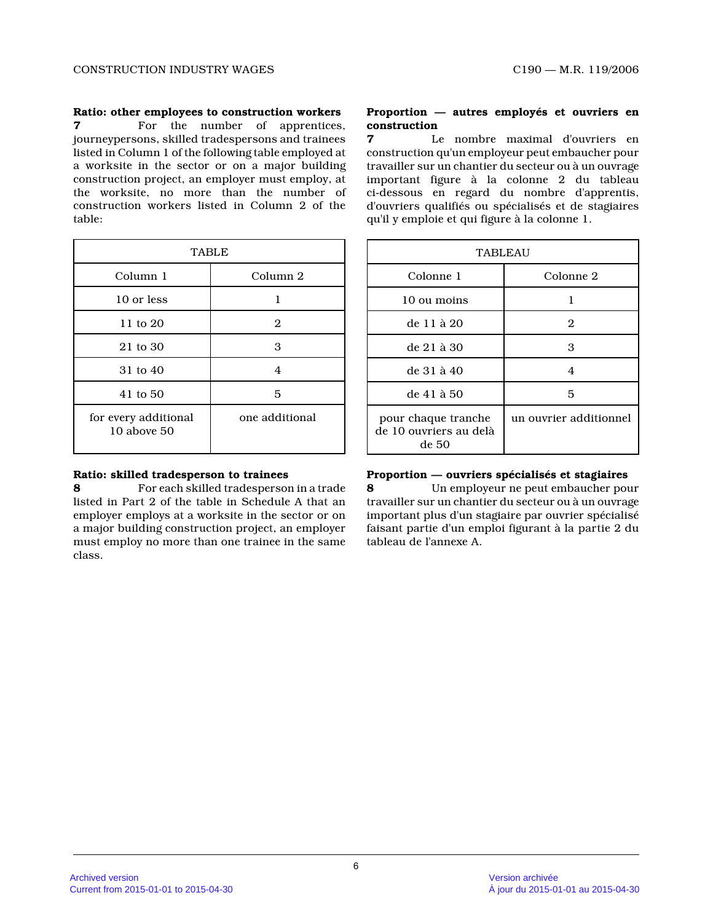### **Ratio: other employees to construction workers**

**7** For the number of apprentices, journeypersons, skilled tradespersons and trainees listed in Column 1 of the following table employed at a worksite in the sector or on a major building construction project, an employer must employ, at the worksite, no more than the number of construction workers listed in Column 2 of the table:

| <b>TABLE</b>                            |                |  |
|-----------------------------------------|----------------|--|
| Column 1                                | Column 2       |  |
| 10 or less                              |                |  |
| 11 to 20                                | 2              |  |
| 21 to 30                                | 3              |  |
| 31 to 40                                | 4              |  |
| 41 to 50                                | 5              |  |
| for every additional<br>$10$ above $50$ | one additional |  |

### **Ratio: skilled tradesperson to trainees**

**8** For each skilled tradesperson in a trade listed in Part 2 of the table in Schedule A that an employer employs at a worksite in the sector or on a major building construction project, an employer must employ no more than one trainee in the same class.

# **Proportion — autres employés et ouvriers en construction 7** Le nombre maximal d'ouvriers en

construction qu'un employeur peut embaucher pour travailler sur un chantier du secteur ou à un ouvrage important figure à la colonne 2 du tableau ci-dessous en regard du nombre d'apprentis, d'ouvriers qualifiés ou spécialisés et de stagiaire s qu'il y emploie et qui figure à la colonne 1.

| <b>TABLEAU</b>                                         |                        |  |
|--------------------------------------------------------|------------------------|--|
| Colonne 1                                              | Colonne 2              |  |
| 10 ou moins                                            |                        |  |
| de 11 à 20                                             | 2                      |  |
| de 21 à 30                                             | 3                      |  |
| de 31 à 40                                             | 4                      |  |
| de 41 à 50                                             | 5                      |  |
| pour chaque tranche<br>de 10 ouvriers au delà<br>de 50 | un ouvrier additionnel |  |

# **Proportion — ouvriers spécialisés et stagiaires**

**8** Un employeur ne peut embaucher pour travailler sur un chantier du secteur ou à un ouvrage important plus d'un stagiaire par ouvrier spécialis é faisant partie d'un emploi figurant à la partie 2 d u tableau de l'annexe A.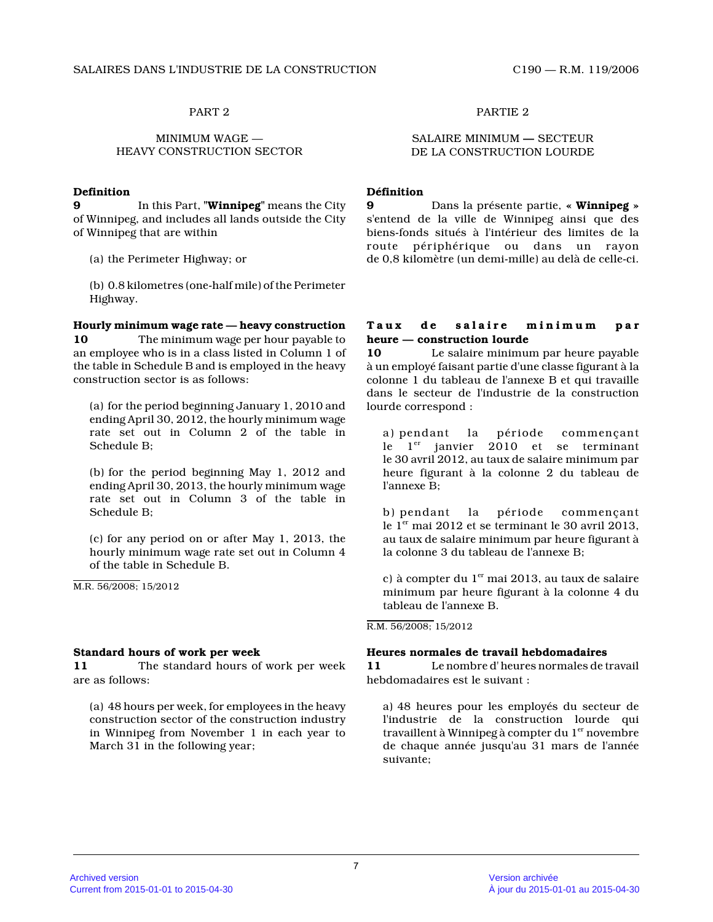#### MINIMUM WAGE — HEAVY CONSTRUCTION SECTOR

#### **Definition**

**9** In this Part, **"Winnipeg"** means the City of Winnipeg, and includes all lands outside the Cit y of Winnipeg that are within

(a) the Perimeter Highway; or

(b) 0.8 kilometres (one-half mile) of the Perimeter Highway.

# **Hourly minimum wage rate — heavy construction**

**10** The minimum wage per hour payable to an employee who is in a class listed in Column 1 of the table in Schedule B and is employed in the heavy construction sector is as follows:

(a) for the period beginning January 1, 2010 and ending April 30, 2012, the hourly minimum wage rate set out in Column 2 of the table in Schedule B;

(b) for the period beginning May 1, 2012 and ending April 30, 2013, the hourly minimum wage rate set out in Column 3 of the table in Schedule B;

(c) for any period on or after May 1, 2013, the hourly minimum wage rate set out in Column 4 of the table in Schedule B.

M.R. 56/2008; 15/2012

#### **Standard hours of work per week**

**11** The standard hours of work per week are as follows:

(a) 48 hours per week, for employees in the heavy construction sector of the construction industry in Winnipeg from November 1 in each year to March 31 in the following year;

# PART 2 PARTIE 2

#### SALAIRE MINIMUM **—** SECTEUR DE LA CONSTRUCTION LOURDE

# **Définition**

**9** Dans la présente partie, **« Winnipeg »** s'entend de la ville de Winnipeg ainsi que des biens-fonds situés à l'intérieur des limites de la route périphérique ou dans un rayon de 0,8 kilomètre (un demi-mille) au delà de celle-ci.

# Taux de salaire minimum par **heure — construction lourde**

**10** Le salaire minimum par heure payable à un employé faisant partie d'une classe figurant à la colonne 1 du tableau de l'annexe B et qui travaille dans le secteur de l'industrie de la construction lourde correspond :

a) pendant la période commençant le  $1<sup>er</sup>$  janvier 2010 et se terminant le 30 avril 2012, au taux de salaire minimum par heure figurant à la colonne 2 du tableau de l'annexe B;

b) pendant la période commençant le  $1<sup>er</sup>$  mai 2012 et se terminant le 30 avril 2013, au taux de salaire minimum par heure figurant à la colonne 3 du tableau de l'annexe B;

c) à compter du  $1<sup>er</sup>$  mai 2013, au taux de salaire minimum par heure figurant à la colonne 4 du tableau de l'annexe B.

R.M. 56/2008; 15/2012

# **Heures normales de travail hebdomadaires**

**11** Le nombre d' heures normales de travail hebdomadaires est le suivant :

a) 48 heures pour les employés du secteur de l'industrie de la construction lourde qui travaillent à Winnipeg à compter du  $1<sup>er</sup>$  novembre de chaque année jusqu'au 31 mars de l'année suivante;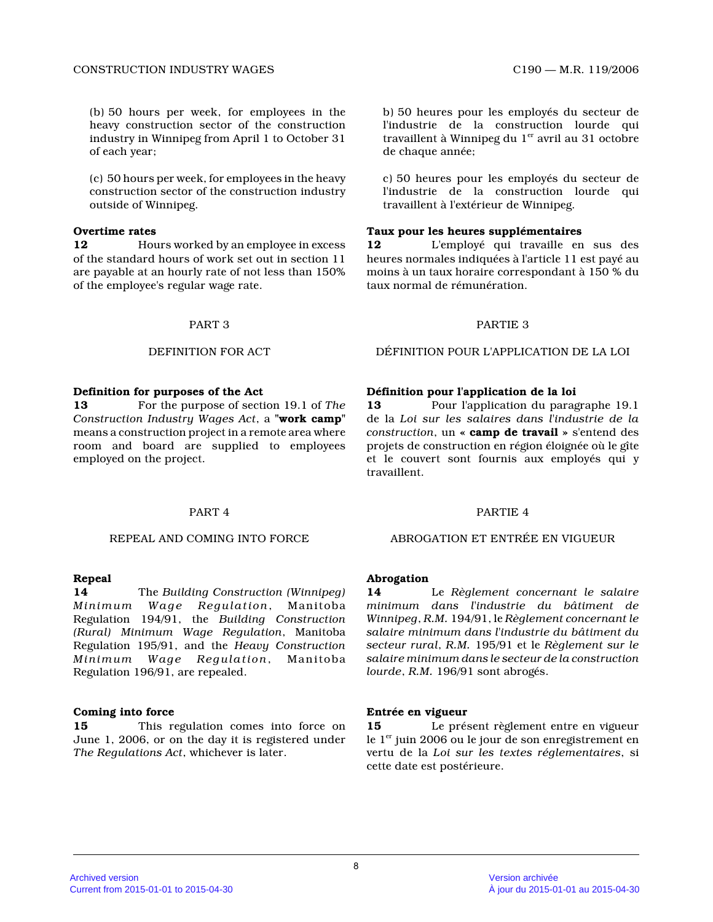(b) 50 hours per week, for employees in the heavy construction sector of the construction industry in Winnipeg from April 1 to October 31 of each year;

(c) 50 hours per week, for employees in the heavy construction sector of the construction industry outside of Winnipeg.

# **Overtime rates**

**12** Hours worked by an employee in excess of the standard hours of work set out in section 11 are payable at an hourly rate of not less than 150% of the employee's regular wage rate.

#### **Definition for purposes of the Act**

**13** For the purpose of section 19.1 of *The Construction Industry Wages Act*, a **"work camp"** means a construction project in a remote area where room and board are supplied to employees employed on the project.

#### **Repeal**

**14** The *Building Construction (Winnipeg) Minimum Wage Regulation*, Manitoba Regulation 194/91, the *Building Construction (Rural) Minimum Wage Regulation*, Manitoba Regulation 195/91, and the *Heavy Construction Minimum Wage Regulation*, Manitoba Regulation 196/91, are repealed.

#### **Coming into force**

**15** This regulation comes into force on June 1, 2006, or on the day it is registered under *The Regulations Act*, whichever is later.

b) 50 heures pour les employés du secteur de l'industrie de la construction lourde qui travaillent à Winnipeg du  $1<sup>er</sup>$  avril au 31 octobre de chaque année;

c) 50 heures pour les employés du secteur de l'industrie de la construction lourde qui travaillent à l'extérieur de Winnipeg.

### **Taux pour les heures supplémentaires**

**12** L'employé qui travaille en sus des heures normales indiquées à l'article 11 est payé a u moins à un taux horaire correspondant à 150 % du taux normal de rémunération.

#### PART 3 PARTIE 3

DEFINITION FOR ACT DÉFINITION POUR L'APPLICATION DE LA LOI

#### **Définition pour l'application de la loi**

**13** Pour l'application du paragraphe 19.1 de la *Loi sur les salaires dans l'industrie de la construction*, un **« camp de travail »** s'entend des projets de construction en région éloignée où le gîte et le couvert sont fournis aux employés qui y travaillent.

# PART 4 PARTIE 4

#### REPEAL AND COMING INTO FORCE ABROGATION ET ENTRÉE EN VIGUEUR

#### **Abrogation**

**14** Le *Règlement concernant le salaire minimum dans l'industrie du bâtiment de Winnipeg*, *R.M.* 194/91, le *Règlement concernant le salaire minimum dans l'industrie du bâtiment du secteur rural*, *R.M.* 195/91 et le *Règlement sur le salaire minimum dans le secteur de la construction lourde*, *R.M.* 196/91 sont abrogés.

#### **Entrée en vigueur**

**15** Le présent règlement entre en vigueur le  $1<sup>er</sup>$  juin 2006 ou le jour de son enregistrement en vertu de la *Loi sur les textes réglementaires*, si cette date est postérieure.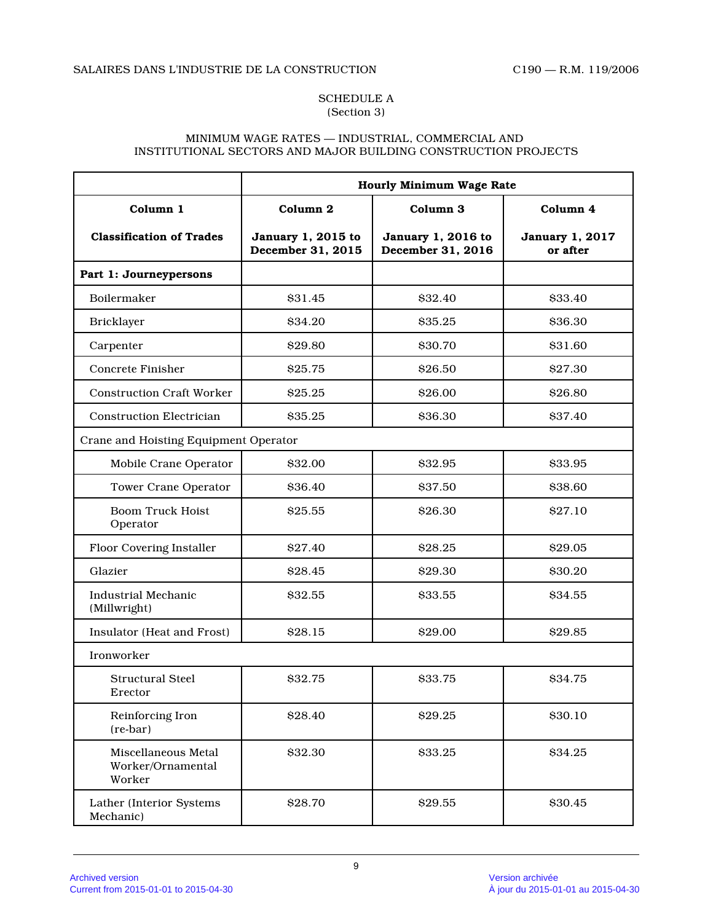# SCHEDULE A (Section 3)

# MINIMUM WAGE RATES — INDUSTRIAL, COMMERCIAL AND INSTITUTIONAL SECTORS AND MAJOR BUILDING CONSTRUCTION PROJECTS

|                                                    | Hourly Minimum Wage Rate                |                                         |                                    |
|----------------------------------------------------|-----------------------------------------|-----------------------------------------|------------------------------------|
| Column 1                                           | Column 2                                | Column 3                                | Column 4                           |
| <b>Classification of Trades</b>                    | January 1, 2015 to<br>December 31, 2015 | January 1, 2016 to<br>December 31, 2016 | <b>January 1, 2017</b><br>or after |
| Part 1: Journeypersons                             |                                         |                                         |                                    |
| Boilermaker                                        | \$31.45                                 | \$32.40                                 | \$33.40                            |
| <b>Bricklayer</b>                                  | \$34.20                                 | \$35.25                                 | \$36.30                            |
| Carpenter                                          | \$29.80                                 | \$30.70                                 | \$31.60                            |
| Concrete Finisher                                  | \$25.75                                 | \$26.50                                 | \$27.30                            |
| <b>Construction Craft Worker</b>                   | \$25.25                                 | \$26.00                                 | \$26.80                            |
| <b>Construction Electrician</b>                    | \$35.25                                 | \$36.30                                 | \$37.40                            |
| Crane and Hoisting Equipment Operator              |                                         |                                         |                                    |
| Mobile Crane Operator                              | \$32.00                                 | \$32.95                                 | \$33.95                            |
| <b>Tower Crane Operator</b>                        | \$36.40                                 | \$37.50                                 | \$38.60                            |
| <b>Boom Truck Hoist</b><br>Operator                | \$25.55                                 | \$26.30                                 | \$27.10                            |
| Floor Covering Installer                           | \$27.40                                 | \$28.25                                 | \$29.05                            |
| Glazier                                            | \$28.45                                 | \$29.30                                 | \$30.20                            |
| <b>Industrial Mechanic</b><br>(Millwright)         | \$32.55                                 | \$33.55                                 | \$34.55                            |
| Insulator (Heat and Frost)                         | \$28.15                                 | \$29.00                                 | \$29.85                            |
| Ironworker                                         |                                         |                                         |                                    |
| <b>Structural Steel</b><br>Erector                 | \$32.75                                 | \$33.75                                 | \$34.75                            |
| Reinforcing Iron<br>$(re-bar)$                     | \$28.40                                 | \$29.25                                 | \$30.10                            |
| Miscellaneous Metal<br>Worker/Ornamental<br>Worker | \$32.30                                 | \$33.25                                 | \$34.25                            |
| Lather (Interior Systems<br>Mechanic)              | \$28.70                                 | \$29.55                                 | \$30.45                            |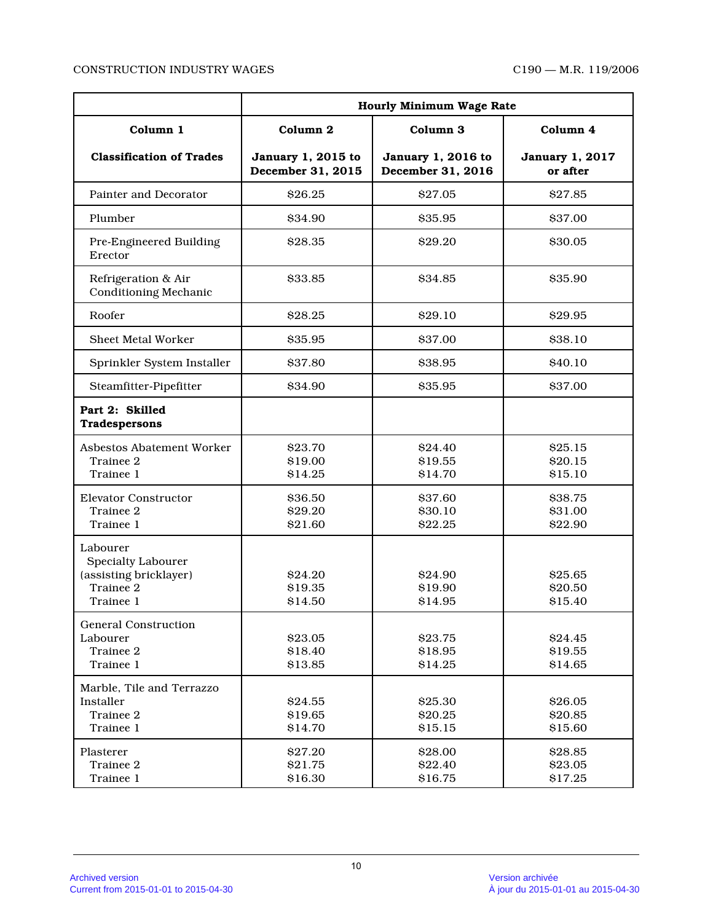# CONSTRUCTION INDUSTRY WAGES C190 — M.R. 119/2006

|                                                                                           | Hourly Minimum Wage Rate                |                                         |                                    |
|-------------------------------------------------------------------------------------------|-----------------------------------------|-----------------------------------------|------------------------------------|
| Column 1                                                                                  | Column 2                                | Column <sub>3</sub>                     | Column 4                           |
| <b>Classification of Trades</b>                                                           | January 1, 2015 to<br>December 31, 2015 | January 1, 2016 to<br>December 31, 2016 | <b>January 1, 2017</b><br>or after |
| Painter and Decorator                                                                     | \$26.25                                 | \$27.05                                 | \$27.85                            |
| Plumber                                                                                   | \$34.90                                 | \$35.95                                 | \$37.00                            |
| Pre-Engineered Building<br>Erector                                                        | \$28.35                                 | \$29.20                                 | \$30.05                            |
| Refrigeration & Air<br>Conditioning Mechanic                                              | \$33.85                                 | \$34.85                                 | \$35.90                            |
| Roofer                                                                                    | \$28.25                                 | \$29.10                                 | \$29.95                            |
| Sheet Metal Worker                                                                        | \$35.95                                 | \$37.00                                 | \$38.10                            |
| Sprinkler System Installer                                                                | \$37.80                                 | \$38.95                                 | \$40.10                            |
| Steamfitter-Pipefitter                                                                    | \$34.90                                 | \$35.95                                 | \$37.00                            |
| Part 2: Skilled<br>Tradespersons                                                          |                                         |                                         |                                    |
| Asbestos Abatement Worker<br>Trainee 2<br>Trainee 1                                       | \$23.70<br>\$19.00<br>\$14.25           | \$24.40<br>\$19.55<br>\$14.70           | \$25.15<br>\$20.15<br>\$15.10      |
| <b>Elevator Constructor</b><br>Trainee 2<br>Trainee 1                                     | \$36.50<br>\$29.20<br>\$21.60           | \$37.60<br>\$30.10<br>\$22.25           | \$38.75<br>\$31.00<br>\$22.90      |
| Labourer<br><b>Specialty Labourer</b><br>(assisting bricklayer)<br>Trainee 2<br>Trainee 1 | <b>S24.20</b><br>\$19.35<br>\$14.50     | \$24.90<br>\$19.90<br>\$14.95           | \$25.65<br>\$20.50<br>\$15.40      |
| <b>General Construction</b><br>Labourer<br>Trainee 2<br>Trainee 1                         | \$23.05<br>\$18.40<br>\$13.85           | \$23.75<br>\$18.95<br>\$14.25           | \$24.45<br>\$19.55<br>\$14.65      |
| Marble, Tile and Terrazzo<br>Installer<br>Trainee 2<br>Trainee 1                          | \$24.55<br>\$19.65<br>\$14.70           | \$25.30<br>\$20.25<br>\$15.15           | \$26.05<br>\$20.85<br>\$15.60      |
| Plasterer<br>Trainee 2<br>Trainee 1                                                       | \$27.20<br>\$21.75<br>\$16.30           | \$28.00<br>\$22.40<br>\$16.75           | \$28.85<br>\$23.05<br>\$17.25      |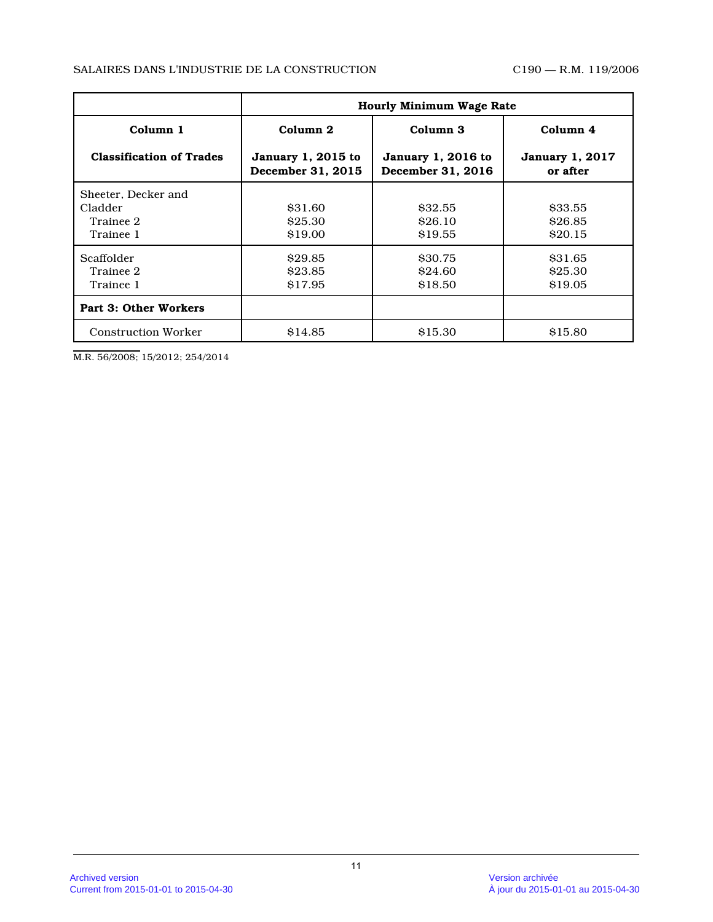# SALAIRES DANS L'INDUSTRIE DE LA CONSTRUCTION C190 — R.M. 119/2006

|                                                          | <b>Hourly Minimum Wage Rate</b>                |                                                |                                    |
|----------------------------------------------------------|------------------------------------------------|------------------------------------------------|------------------------------------|
| Column 1                                                 | Column 2                                       | Column <sub>3</sub>                            | Column 4                           |
| <b>Classification of Trades</b>                          | <b>January 1, 2015 to</b><br>December 31, 2015 | <b>January 1, 2016 to</b><br>December 31, 2016 | <b>January 1, 2017</b><br>or after |
| Sheeter, Decker and<br>Cladder<br>Trainee 2<br>Trainee 1 | \$31.60<br>\$25.30<br>\$19.00                  | \$32.55<br>\$26.10<br>\$19.55                  | \$33.55<br>\$26.85<br>\$20.15      |
| Scaffolder<br>Trainee 2<br>Trainee 1                     | \$29.85<br>\$23.85<br>\$17.95                  | \$30.75<br>\$24.60<br>\$18.50                  | \$31.65<br>\$25.30<br>\$19.05      |
| Part 3: Other Workers                                    |                                                |                                                |                                    |
| <b>Construction Worker</b>                               | \$14.85                                        | \$15.30                                        | \$15.80                            |

M.R. 56/2008; 15/2012; 254/2014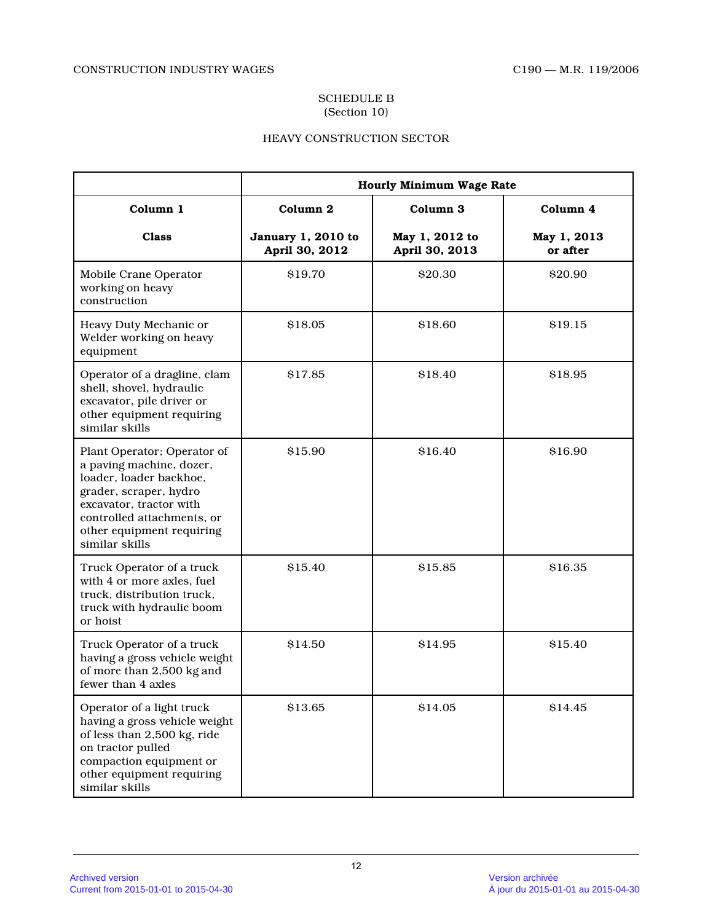#### SCHEDULE B (Section 10)

# HEAVY CONSTRUCTION SECTOR

|                                                                                                                                                                                                                      | Hourly Minimum Wage Rate             |                                  |                         |
|----------------------------------------------------------------------------------------------------------------------------------------------------------------------------------------------------------------------|--------------------------------------|----------------------------------|-------------------------|
| Column 1                                                                                                                                                                                                             | Column 2                             | Column <sub>3</sub>              | Column 4                |
| <b>Class</b>                                                                                                                                                                                                         | January 1, 2010 to<br>April 30, 2012 | May 1, 2012 to<br>April 30, 2013 | May 1, 2013<br>or after |
| Mobile Crane Operator<br>working on heavy<br>construction                                                                                                                                                            | \$19.70                              | \$20.30                          | \$20.90                 |
| Heavy Duty Mechanic or<br>Welder working on heavy<br>equipment                                                                                                                                                       | \$18.05                              | \$18.60                          | \$19.15                 |
| Operator of a dragline, clam<br>shell, shovel, hydraulic<br>excavator, pile driver or<br>other equipment requiring<br>similar skills                                                                                 | \$17.85                              | \$18.40                          | \$18.95                 |
| Plant Operator; Operator of<br>a paving machine, dozer,<br>loader, loader backhoe,<br>grader, scraper, hydro<br>excavator, tractor with<br>controlled attachments, or<br>other equipment requiring<br>similar skills | \$15.90                              | \$16.40                          | \$16.90                 |
| Truck Operator of a truck<br>with 4 or more axles, fuel<br>truck, distribution truck,<br>truck with hydraulic boom<br>or hoist                                                                                       | \$15.40                              | \$15.85                          | \$16.35                 |
| Truck Operator of a truck<br>having a gross vehicle weight<br>of more than 2,500 kg and<br>fewer than 4 axles                                                                                                        | \$14.50                              | \$14.95                          | \$15.40                 |
| Operator of a light truck<br>having a gross vehicle weight<br>of less than 2,500 kg, ride<br>on tractor pulled<br>compaction equipment or<br>other equipment requiring<br>similar skills                             | \$13.65                              | \$14.05                          | \$14.45                 |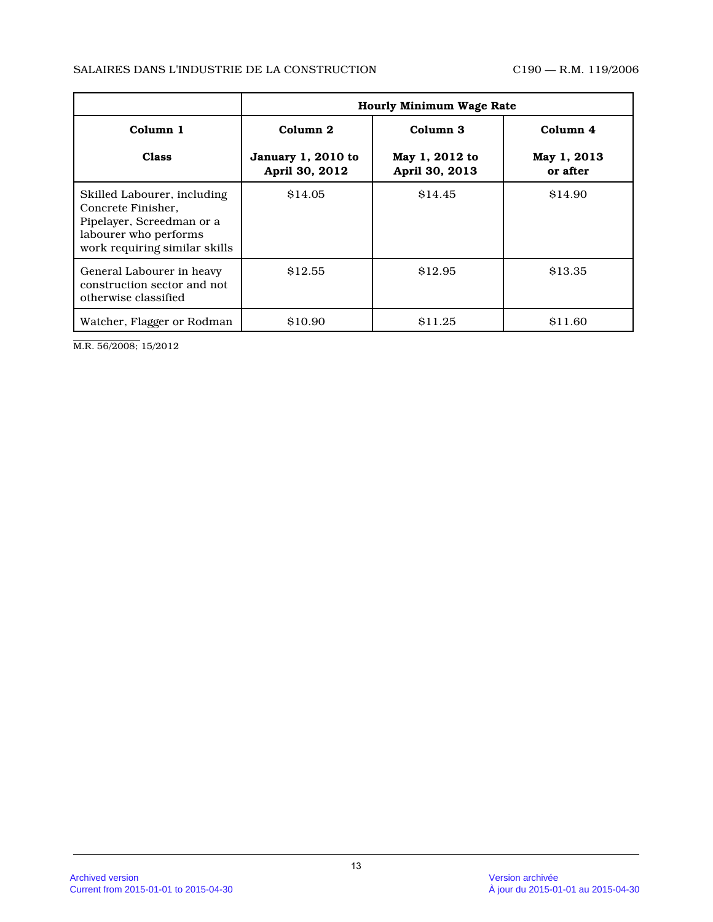# SALAIRES DANS L'INDUSTRIE DE LA CONSTRUCTION C190 — R.M. 119/2006

|                                                                                                                                          | <b>Hourly Minimum Wage Rate</b>                             |                                                         |                                     |
|------------------------------------------------------------------------------------------------------------------------------------------|-------------------------------------------------------------|---------------------------------------------------------|-------------------------------------|
| Column 1<br><b>Class</b>                                                                                                                 | Column <sub>2</sub><br>January 1, 2010 to<br>April 30, 2012 | Column <sub>3</sub><br>May 1, 2012 to<br>April 30, 2013 | Column 4<br>May 1, 2013<br>or after |
| Skilled Labourer, including<br>Concrete Finisher.<br>Pipelayer, Screedman or a<br>labourer who performs<br>work requiring similar skills | \$14.05                                                     | \$14.45                                                 | \$14.90                             |
| General Labourer in heavy<br>construction sector and not<br>otherwise classified                                                         | \$12.55                                                     | \$12.95                                                 | \$13.35                             |
| Watcher, Flagger or Rodman                                                                                                               | \$10.90                                                     | S <sub>11.25</sub>                                      | \$11.60                             |

M.R. 56/2008; 15/2012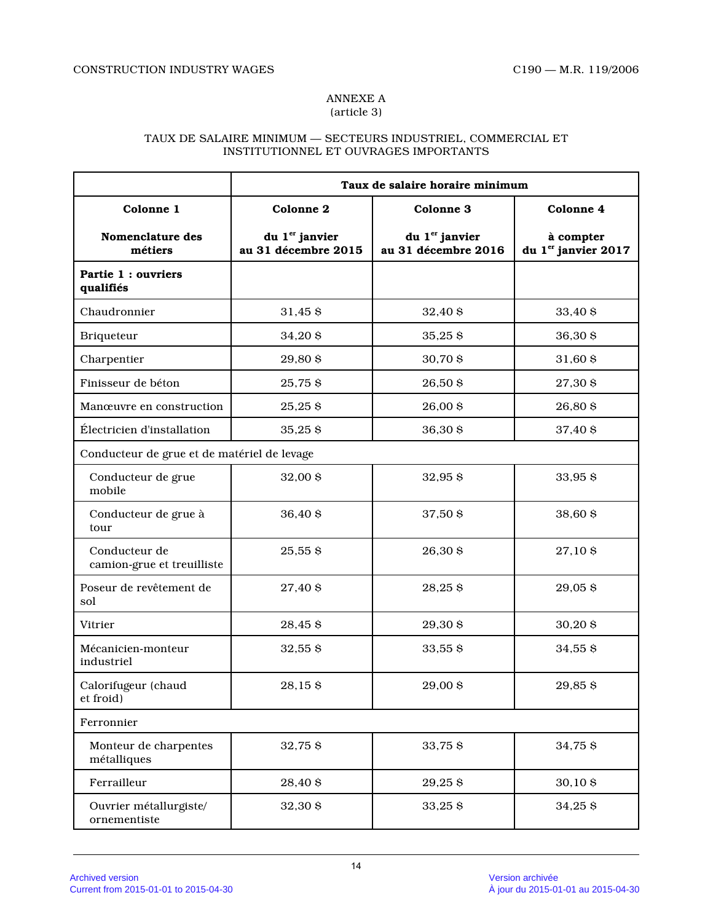#### ANNEXE A (article 3)

# TAUX DE SALAIRE MINIMUM — SECTEURS INDUSTRIEL, COMMERCIAL ET INSTITUTIONNEL ET OUVRAGES IMPORTANTS

|                                             | Taux de salaire horaire minimum                   |                                                   |                                              |
|---------------------------------------------|---------------------------------------------------|---------------------------------------------------|----------------------------------------------|
| Colonne 1                                   | Colonne 2                                         | <b>Colonne 3</b>                                  | <b>Colonne 4</b>                             |
| Nomenclature des<br>métiers                 | du 1 <sup>er</sup> janvier<br>au 31 décembre 2015 | du 1 <sup>er</sup> janvier<br>au 31 décembre 2016 | à compter<br>du 1 <sup>er</sup> janvier 2017 |
| Partie 1 : ouvriers<br>qualifiés            |                                                   |                                                   |                                              |
| Chaudronnier                                | 31,45 \$                                          | 32,40 \$                                          | 33,40 \$                                     |
| Briqueteur                                  | 34,20\$                                           | $35,25$ \$                                        | 36,30 \$                                     |
| Charpentier                                 | 29,80 \$                                          | 30,70 \$                                          | 31,60 \$                                     |
| Finisseur de béton                          | 25,75 \$                                          | 26,50\$                                           | 27,30 \$                                     |
| Manœuvre en construction                    | 25,25\$                                           | 26,00 \$                                          | 26,80 \$                                     |
| Électricien d'installation                  | 35,25\$                                           | 36,30 \$                                          | 37,40 \$                                     |
| Conducteur de grue et de matériel de levage |                                                   |                                                   |                                              |
| Conducteur de grue<br>mobile                | 32,00 \$                                          | 32,95\$                                           | 33,95 \$                                     |
| Conducteur de grue à<br>tour                | 36,40 \$                                          | 37,50 \$                                          | 38,60 \$                                     |
| Conducteur de<br>camion-grue et treuilliste | 25,55 \$                                          | 26,30 \$                                          | 27,10 \$                                     |
| Poseur de revêtement de<br>sol              | 27,40 \$                                          | 28,25\$                                           | 29,05\$                                      |
| Vitrier                                     | 28,45 \$                                          | 29,30 \$                                          | 30,20 \$                                     |
| Mécanicien-monteur<br>industriel            | 32,55 \$                                          | 33,55 \$                                          | 34,55 \$                                     |
| Calorifugeur (chaud<br>et froid)            | 28,15\$                                           | 29,00 \$                                          | 29,85\$                                      |
| Ferronnier                                  |                                                   |                                                   |                                              |
| Monteur de charpentes<br>métalliques        | 32,75 \$                                          | 33,75 \$                                          | 34,75 \$                                     |
| Ferrailleur                                 | 28,40 \$                                          | 29,25\$                                           | 30,10 \$                                     |
| Ouvrier métallurgiste/<br>ornementiste      | 32,30 \$                                          | 33,25\$                                           | 34,25\$                                      |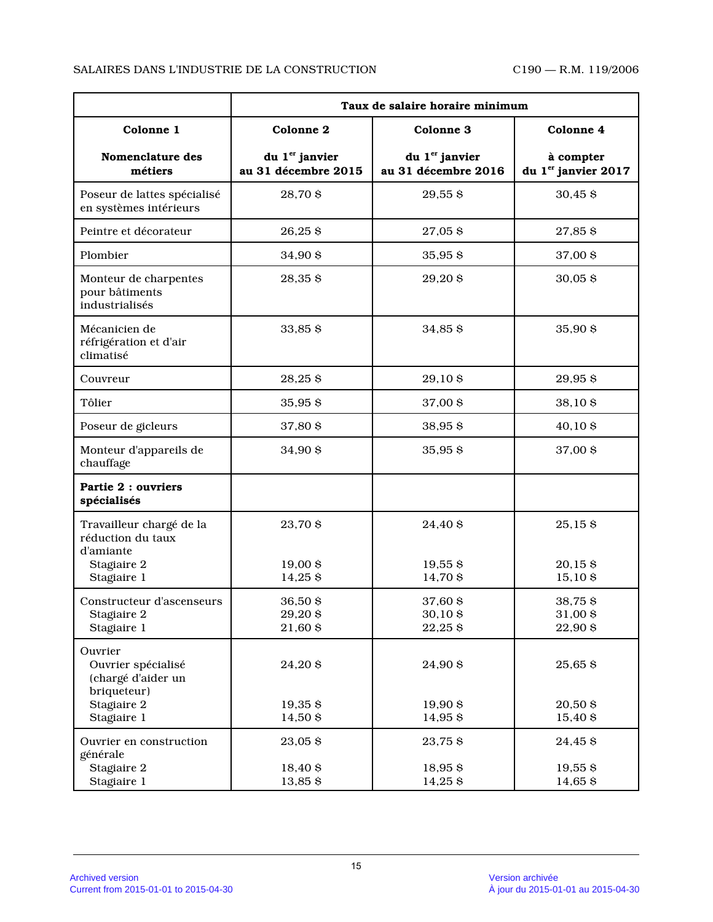# SALAIRES DANS L'INDUSTRIE DE LA CONSTRUCTION C190 — R.M. 119/2006

|                                                                                          | Taux de salaire horaire minimum                   |                                                   |                                    |
|------------------------------------------------------------------------------------------|---------------------------------------------------|---------------------------------------------------|------------------------------------|
| Colonne 1                                                                                | Colonne 2                                         | Colonne 3                                         | Colonne 4                          |
| Nomenclature des<br>métiers                                                              | du 1 <sup>er</sup> janvier<br>au 31 décembre 2015 | du 1 <sup>er</sup> janvier<br>au 31 décembre 2016 | à compter<br>du 1er janvier 2017   |
| Poseur de lattes spécialisé<br>en systèmes intérieurs                                    | 28,70 \$                                          | 29,55\$                                           | 30,45 \$                           |
| Peintre et décorateur                                                                    | 26,25\$                                           | 27,05\$                                           | 27,85\$                            |
| Plombier                                                                                 | 34,90 \$                                          | 35,95\$                                           | 37,00 \$                           |
| Monteur de charpentes<br>pour bâtiments<br>industrialisés                                | 28,35\$                                           | 29,20\$                                           | $30,05$ \$                         |
| Mécanicien de<br>réfrigération et d'air<br>climatisé                                     | 33,85\$                                           | 34,85 \$                                          | 35,90 \$                           |
| Couvreur                                                                                 | 28,25\$                                           | 29,10\$                                           | 29,95\$                            |
| Tôlier                                                                                   | 35,95 \$                                          | 37,00 \$                                          | 38,10\$                            |
| Poseur de gicleurs                                                                       | 37,80 \$                                          | 38,95\$                                           | $40,10$ \$                         |
| Monteur d'appareils de<br>chauffage                                                      | 34,90 \$                                          | 35,95\$                                           | 37,00 \$                           |
| Partie 2 : ouvriers<br>spécialisés                                                       |                                                   |                                                   |                                    |
| Travailleur chargé de la<br>réduction du taux<br>d'amiante<br>Stagiaire 2<br>Stagiaire 1 | 23,70 \$<br>19,00 \$<br>14,25 \$                  | 24,40 \$<br>$19,55$ \$<br>14,70 \$                | 25,15\$<br>$20,15$ \$<br>15,10\$   |
| Constructeur d'ascenseurs<br>Stagiaire 2<br>Stagiaire 1                                  | 36,50 \$<br>29,20\$<br>21,60 \$                   | 37,60 \$<br>30,10 \$<br>22,25\$                   | 38,75\$<br>31,00 \$<br>22,90 \$    |
| Ouvrier<br>Ouvrier spécialisé<br>(chargé d'aider un<br>briqueteur)<br>Stagiaire 2        | 24,20\$<br>$19,35$ \$                             | 24,90 \$<br>19,90 \$                              | 25,65\$<br>20,50 \$                |
| Stagiaire 1                                                                              | 14,50 \$                                          | 14,95 \$                                          | 15,40 \$                           |
| Ouvrier en construction<br>générale<br>Stagiaire 2<br>Stagiaire 1                        | 23,05\$<br>18,40 \$<br>13,85 \$                   | 23,75 \$<br>18,95\$<br>14,25 \$                   | 24,45 \$<br>$19,55$ \$<br>14,65 \$ |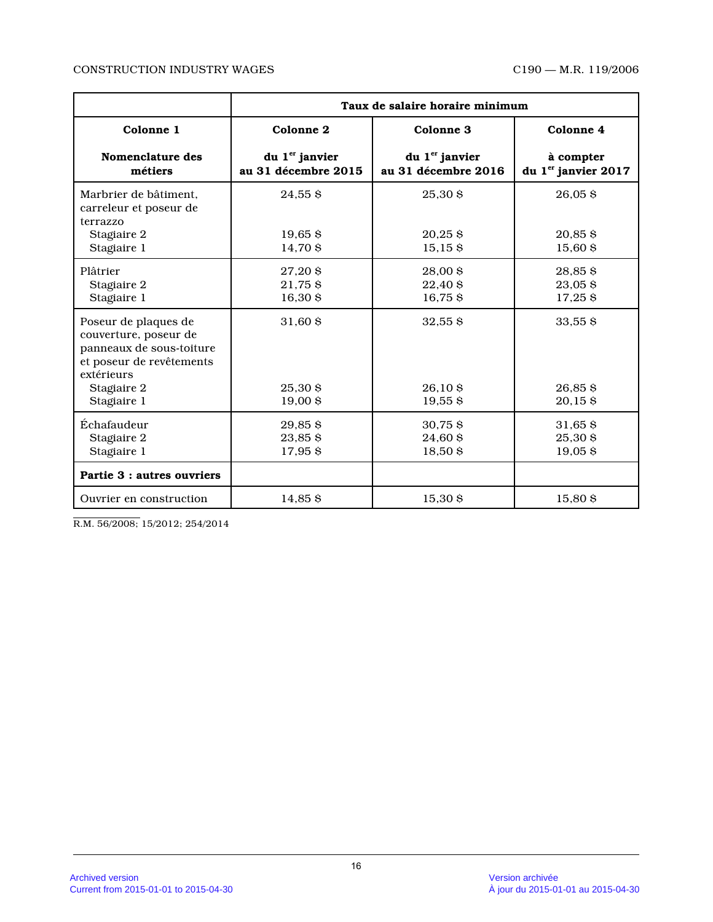### CONSTRUCTION INDUSTRY WAGES C190 — M.R. 119/2006

|                                                                                                                                                   | Taux de salaire horaire minimum                   |                                                   |                                              |
|---------------------------------------------------------------------------------------------------------------------------------------------------|---------------------------------------------------|---------------------------------------------------|----------------------------------------------|
| Colonne 1                                                                                                                                         | Colonne <sub>2</sub>                              | Colonne 3                                         | Colonne 4                                    |
| Nomenclature des<br>métiers                                                                                                                       | du 1 <sup>er</sup> janvier<br>au 31 décembre 2015 | du 1 <sup>er</sup> janvier<br>au 31 décembre 2016 | à compter<br>du 1 <sup>er</sup> janvier 2017 |
| Marbrier de bâtiment.<br>carreleur et poseur de<br>terrazzo<br>Stagiaire 2<br>Stagiaire 1                                                         | 24,55\$<br>$19,65$ \$<br>14,70 \$                 | 25,30 \$<br>$20,25$ \$<br>$15,15$ \$              | $26,05$ \$<br>$20,85$ \$<br>15,60 \$         |
| Plâtrier<br>Stagiaire 2<br>Stagiaire 1                                                                                                            | 27,20 \$<br>21,75 \$<br>$16,30$ \$                | 28,00 \$<br>22,40 \$<br>16,75\$                   | 28,85\$<br>23,05\$<br>$17,25$ \$             |
| Poseur de plaques de<br>couverture, poseur de<br>panneaux de sous-toiture<br>et poseur de revêtements<br>extérieurs<br>Stagiaire 2<br>Stagiaire 1 | 31,60 \$<br>25,30S<br>$19,00$ \$                  | $32,55$ \$<br>26,10S<br>$19,55$ \$                | $33,55$ \$<br>$26,85$ \$<br>$20,15$ \$       |
| Échafaudeur<br>Stagiaire 2<br>Stagiaire 1                                                                                                         | $29,85$ \$<br>23,85\$<br>17,95 \$                 | $30,75$ \$<br>24,60 \$<br>18,50\$                 | $31,65$ \$<br>25,30 \$<br>$19,05$ \$         |
| Partie 3 : autres ouvriers                                                                                                                        |                                                   |                                                   |                                              |
| Ouvrier en construction                                                                                                                           | 14.85S                                            | 15,30 \$                                          | 15.80S                                       |

R.M. 56/2008; 15/2012; 254/2014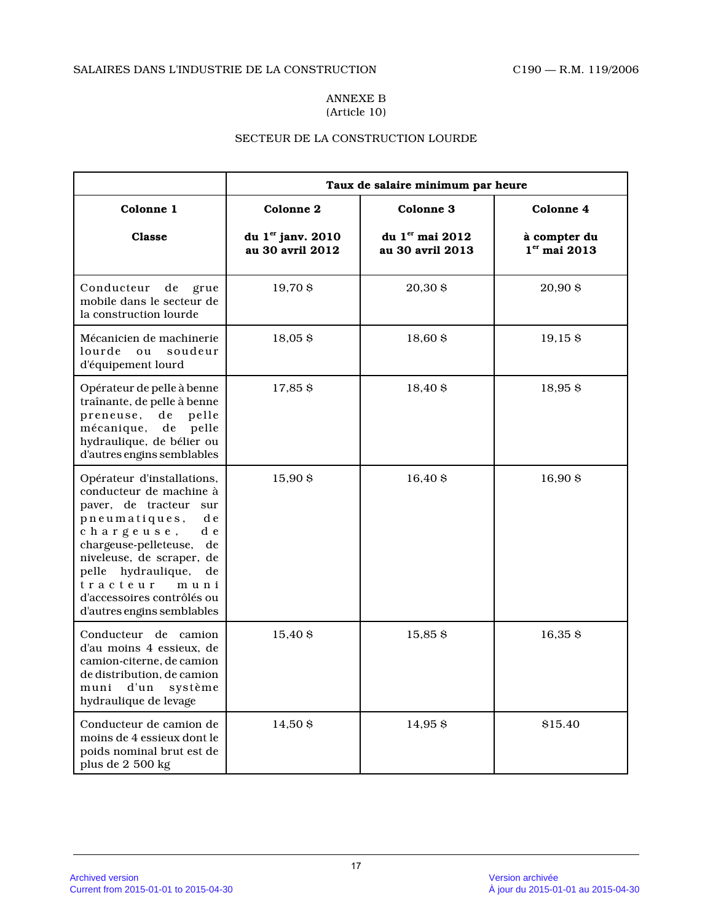### ANNEXE B (Article 10)

# SECTEUR DE LA CONSTRUCTION LOURDE

|                                                                                                                                                                                                                                                                                                         | Taux de salaire minimum par heure     |                                     |                                |
|---------------------------------------------------------------------------------------------------------------------------------------------------------------------------------------------------------------------------------------------------------------------------------------------------------|---------------------------------------|-------------------------------------|--------------------------------|
| Colonne 1                                                                                                                                                                                                                                                                                               | <b>Colonne 2</b>                      | <b>Colonne 3</b>                    | Colonne 4                      |
| Classe                                                                                                                                                                                                                                                                                                  | du 1er janv. 2010<br>au 30 avril 2012 | du 1er mai 2012<br>au 30 avril 2013 | à compter du<br>$1er$ mai 2013 |
| Conducteur<br>de<br>grue<br>mobile dans le secteur de<br>la construction lourde                                                                                                                                                                                                                         | 19,70 \$                              | 20,30 \$                            | 20,90 \$                       |
| Mécanicien de machinerie<br>lourde<br>ou<br>soudeur<br>d'équipement lourd                                                                                                                                                                                                                               | 18,05\$                               | 18,60 \$                            | 19,15\$                        |
| Opérateur de pelle à benne<br>traînante, de pelle à benne<br>preneuse,<br>pelle<br>de<br>mécanique,<br>$\rm{d}e$<br>pelle<br>hydraulique, de bélier ou<br>d'autres engins semblables                                                                                                                    | 17,85 \$                              | $18,40$ \$                          | $18,95$ \$                     |
| Opérateur d'installations,<br>conducteur de machine à<br>paver, de tracteur<br>sur<br>pneumatiques,<br>d e<br>chargeuse,<br>d e<br>chargeuse-pelleteuse,<br>de<br>niveleuse, de scraper, de<br>pelle hydraulique,<br>de<br>tracteur<br>muni<br>d'accessoires contrôlés ou<br>d'autres engins semblables | 15,90\$                               | 16,40 \$                            | 16,90\$                        |
| Conducteur de camion<br>d'au moins 4 essieux, de<br>camion-citerne, de camion<br>de distribution, de camion<br>d'un<br>muni<br>système<br>hydraulique de levage                                                                                                                                         | 15,40 \$                              | 15,85\$                             | 16,35\$                        |
| Conducteur de camion de<br>moins de 4 essieux dont le<br>poids nominal brut est de<br>plus de 2 500 kg                                                                                                                                                                                                  | 14,50S                                | 14,95S                              | \$15.40                        |